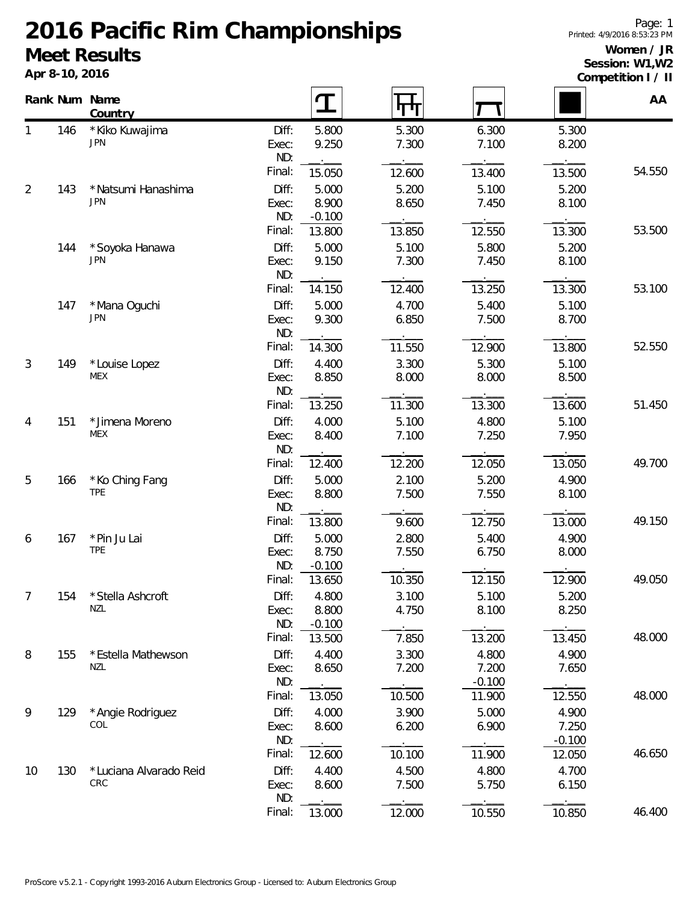## **2016 Pacific Rim Championships Meet Results**

**Apr 8-10, 2016**

## **Women / JR Session: W1,W2**

**Competition I / II**

|                |     | Rank Num Name<br>Country      |                |                    | पा             |                |                    | AA     |
|----------------|-----|-------------------------------|----------------|--------------------|----------------|----------------|--------------------|--------|
| 1              | 146 | * Kiko Kuwajima<br><b>JPN</b> | Diff:<br>Exec: | 5.800<br>9.250     | 5.300<br>7.300 | 6.300<br>7.100 | 5.300<br>8.200     |        |
|                |     |                               | ND:<br>Final:  | 15.050             | 12.600         | 13.400         | 13.500             | 54.550 |
| $\overline{2}$ | 143 | * Natsumi Hanashima           | Diff:          | 5.000              | 5.200          | 5.100          | 5.200              |        |
|                |     | <b>JPN</b>                    | Exec:          | 8.900              | 8.650          | 7.450          | 8.100              |        |
|                |     |                               | ND:<br>Final:  | $-0.100$<br>13.800 | 13.850         | 12.550         | 13.300             | 53.500 |
|                | 144 | *Soyoka Hanawa                | Diff:          | 5.000              | 5.100          | 5.800          | 5.200              |        |
|                |     | <b>JPN</b>                    | Exec:          | 9.150              | 7.300          | 7.450          | 8.100              |        |
|                |     |                               | ND:            |                    |                |                |                    |        |
|                |     |                               | Final:         | 14.150             | 12.400         | 13.250         | 13.300             | 53.100 |
|                | 147 | *Mana Oguchi<br><b>JPN</b>    | Diff:          | 5.000              | 4.700          | 5.400          | 5.100              |        |
|                |     |                               | Exec:<br>ND:   | 9.300              | 6.850          | 7.500          | 8.700              |        |
|                |     |                               | Final:         | 14.300             | 11.550         | 12.900         | 13.800             | 52.550 |
| $\mathfrak{Z}$ | 149 | *Louise Lopez                 | Diff:          | 4.400              | 3.300          | 5.300          | 5.100              |        |
|                |     | <b>MEX</b>                    | Exec:          | 8.850              | 8.000          | 8.000          | 8.500              |        |
|                |     |                               | ND:            |                    |                |                |                    |        |
|                |     |                               | Final:         | 13.250             | 11.300         | 13.300         | 13.600             | 51.450 |
| 4              | 151 | * Jimena Moreno<br><b>MEX</b> | Diff:<br>Exec: | 4.000<br>8.400     | 5.100<br>7.100 | 4.800<br>7.250 | 5.100<br>7.950     |        |
|                |     |                               | ND:            |                    |                |                |                    |        |
|                |     |                               | Final:         | 12.400             | 12.200         | 12.050         | 13.050             | 49.700 |
| 5              | 166 | * Ko Ching Fang               | Diff:          | 5.000              | 2.100          | 5.200          | 4.900              |        |
|                |     | <b>TPE</b>                    | Exec:          | 8.800              | 7.500          | 7.550          | 8.100              |        |
|                |     |                               | ND:            |                    |                |                |                    |        |
|                |     |                               | Final:         | 13.800             | 9.600          | 12.750         | 13.000             | 49.150 |
| 6              | 167 | *Pin Ju Lai<br><b>TPE</b>     | Diff:<br>Exec: | 5.000<br>8.750     | 2.800<br>7.550 | 5.400<br>6.750 | 4.900<br>8.000     |        |
|                |     |                               | ND:            | $-0.100$           |                |                |                    |        |
|                |     |                               | Final:         | 13.650             | 10.350         | 12.150         | 12.900             | 49.050 |
| $\prime$       | 154 | *Stella Ashcroft              | Diff:          | 4.800              | 3.100          | 5.100          | 5.200              |        |
|                |     | NZL                           | Exec:          | 8.800              | 4.750          | 8.100          | 8.250              |        |
|                |     |                               | ND:<br>Final:  | $-0.100$<br>13.500 | 7.850          | 13.200         | 13.450             | 48.000 |
| 8              | 155 | *Estella Mathewson            | Diff:          | 4.400              | 3.300          | 4.800          | 4.900              |        |
|                |     | <b>NZL</b>                    | Exec:          | 8.650              | 7.200          | 7.200          | 7.650              |        |
|                |     |                               | ND:            |                    |                | $-0.100$       |                    |        |
|                |     |                               | Final:         | 13.050             | 10.500         | 11.900         | 12.550             | 48.000 |
| 9              | 129 | *Angie Rodriguez              | Diff:          | 4.000              | 3.900          | 5.000          | 4.900              |        |
|                |     | COL                           | Exec:          | 8.600              | 6.200          | 6.900          | 7.250              |        |
|                |     |                               | ND:<br>Final:  | 12.600             | 10.100         | 11.900         | $-0.100$<br>12.050 | 46.650 |
| 10             | 130 | *Luciana Alvarado Reid        | Diff:          | 4.400              | 4.500          | 4.800          | 4.700              |        |
|                |     | CRC                           | Exec:          | 8.600              | 7.500          | 5.750          | 6.150              |        |
|                |     |                               | ND:            |                    |                |                |                    |        |
|                |     |                               | Final:         | 13.000             | 12.000         | 10.550         | 10.850             | 46.400 |